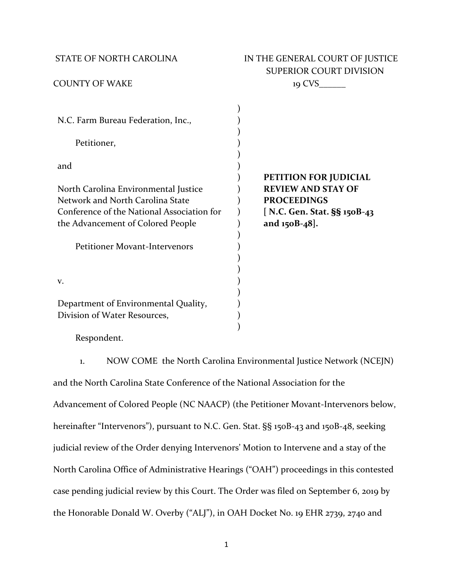# STATE OF NORTH CAROLINA **IN THE GENERAL COURT OF JUSTICE** SUPERIOR COURT DIVISION COUNTY OF WAKE 19 CVS\_\_\_\_\_\_

| N.C. Farm Bureau Federation, Inc.,<br>Petitioner,                               |                                                 |
|---------------------------------------------------------------------------------|-------------------------------------------------|
| and                                                                             | <b>PETITION FOR JUDICIAL</b>                    |
| North Carolina Environmental Justice<br>Network and North Carolina State        | <b>REVIEW AND STAY OF</b><br><b>PROCEEDINGS</b> |
| Conference of the National Association for<br>the Advancement of Colored People | [ N.C. Gen. Stat. §§ 150B-43<br>and 150B-48].   |
|                                                                                 |                                                 |
| <b>Petitioner Movant-Intervenors</b>                                            |                                                 |
| V.                                                                              |                                                 |
| Department of Environmental Quality,                                            |                                                 |
| Division of Water Resources,                                                    |                                                 |

Respondent.

1. NOW COME the North Carolina Environmental Justice Network (NCEJN) and the North Carolina State Conference of the National Association for the Advancement of Colored People (NC NAACP) (the Petitioner Movant-Intervenors below, hereinafter "Intervenors"), pursuant to N.C. Gen. Stat. §§ 150B-43 and 150B-48, seeking judicial review of the Order denying Intervenors' Motion to Intervene and a stay of the North Carolina Office of Administrative Hearings ("OAH") proceedings in this contested case pending judicial review by this Court. The Order was filed on September 6, 2019 by the Honorable Donald W. Overby ("ALJ"), in OAH Docket No. 19 EHR 2739, 2740 and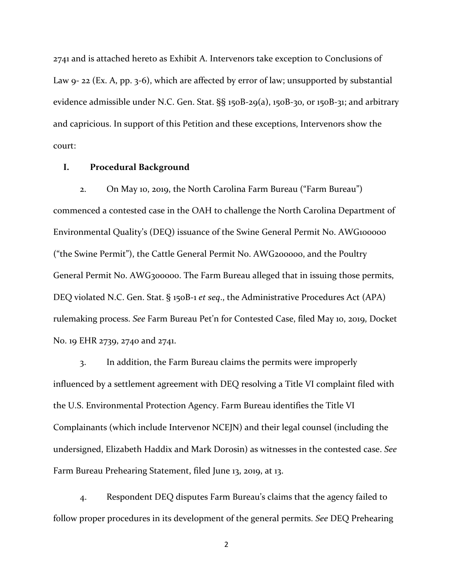2741 and is attached hereto as Exhibit A. Intervenors take exception to Conclusions of Law 9- 22 (Ex. A, pp. 3-6), which are affected by error of law; unsupported by substantial evidence admissible under N.C. Gen. Stat. §§ 150B-29(a), 150B-30, or 150B-31; and arbitrary and capricious. In support of this Petition and these exceptions, Intervenors show the court:

## **I. Procedural Background**

2. On May 10, 2019, the North Carolina Farm Bureau ("Farm Bureau") commenced a contested case in the OAH to challenge the North Carolina Department of Environmental Quality's (DEQ) issuance of the Swine General Permit No. AWG100000 ("the Swine Permit"), the Cattle General Permit No. AWG200000, and the Poultry General Permit No. AWG300000. The Farm Bureau alleged that in issuing those permits, DEQ violated N.C. Gen. Stat. § 150B-1 *et seq*., the Administrative Procedures Act (APA) rulemaking process. *See* Farm Bureau Pet'n for Contested Case, filed May 10, 2019, Docket No. 19 EHR 2739, 2740 and 2741.

3. In addition, the Farm Bureau claims the permits were improperly influenced by a settlement agreement with DEQ resolving a Title VI complaint filed with the U.S. Environmental Protection Agency. Farm Bureau identifies the Title VI Complainants (which include Intervenor NCEJN) and their legal counsel (including the undersigned, Elizabeth Haddix and Mark Dorosin) as witnesses in the contested case. *See*  Farm Bureau Prehearing Statement, filed June 13, 2019, at 13.

4. Respondent DEQ disputes Farm Bureau's claims that the agency failed to follow proper procedures in its development of the general permits. *See* DEQ Prehearing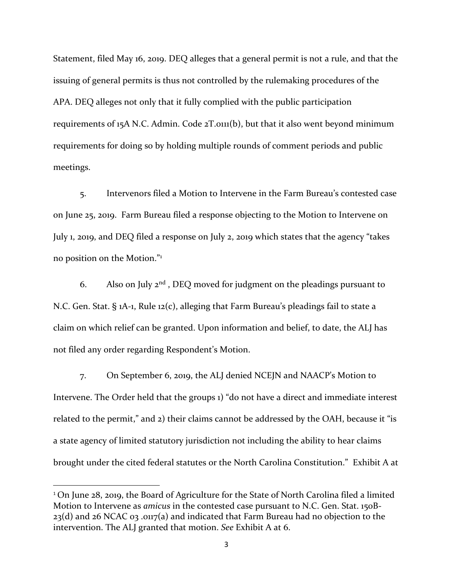Statement, filed May 16, 2019. DEQ alleges that a general permit is not a rule, and that the issuing of general permits is thus not controlled by the rulemaking procedures of the APA. DEQ alleges not only that it fully complied with the public participation requirements of 15A N.C. Admin. Code 2T.0111(b), but that it also went beyond minimum requirements for doing so by holding multiple rounds of comment periods and public meetings.

5. Intervenors filed a Motion to Intervene in the Farm Bureau's contested case on June 25, 2019. Farm Bureau filed a response objecting to the Motion to Intervene on July 1, 2019, and DEQ filed a response on July 2, 2019 which states that the agency "takes no position on the Motion."<sup>1</sup>

6. Also on July  $2^{nd}$ , DEQ moved for judgment on the pleadings pursuant to N.C. Gen. Stat. § 1A-1, Rule 12(c), alleging that Farm Bureau's pleadings fail to state a claim on which relief can be granted. Upon information and belief, to date, the ALJ has not filed any order regarding Respondent's Motion.

7. On September 6, 2019, the ALJ denied NCEJN and NAACP's Motion to Intervene. The Order held that the groups 1) "do not have a direct and immediate interest related to the permit," and 2) their claims cannot be addressed by the OAH, because it "is a state agency of limited statutory jurisdiction not including the ability to hear claims brought under the cited federal statutes or the North Carolina Constitution." Exhibit A at

 $\overline{\phantom{a}}$ 

<sup>&</sup>lt;sup>1</sup> On June 28, 2019, the Board of Agriculture for the State of North Carolina filed a limited Motion to Intervene as *amicus* in the contested case pursuant to N.C. Gen. Stat. 150B-23(d) and 26 NCAC 03 .0117(a) and indicated that Farm Bureau had no objection to the intervention. The ALJ granted that motion. *See* Exhibit A at 6.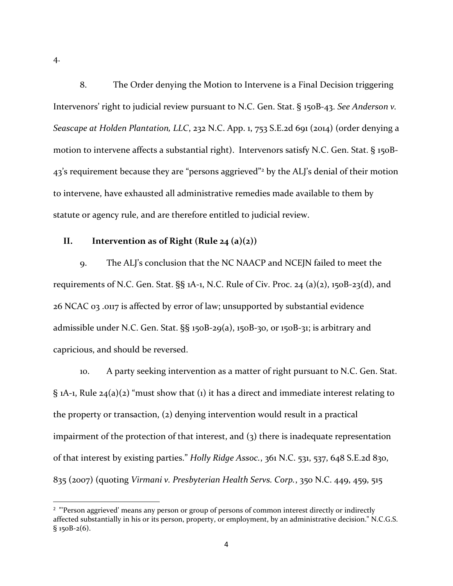4.

 $\overline{a}$ 

8. The Order denying the Motion to Intervene is a Final Decision triggering Intervenors' right to judicial review pursuant to N.C. Gen. Stat. § 150B-43. *See [Anderson v.](https://advance.lexis.com/api/document/collection/cases/id/5BBB-K761-F04H-F0PN-00000-00?cite=232%20N.C.%20App.%201&context=1000516)  Seascape at Holden Plantation, LLC*[, 232 N.C. App. 1, 753 S.E.2d 691 \(2014\) \(](https://advance.lexis.com/api/document/collection/cases/id/5BBB-K761-F04H-F0PN-00000-00?cite=232%20N.C.%20App.%201&context=1000516)order denying a motion to intervene affects a substantial right). Intervenors satisfy N.C. Gen. Stat. § 150B-43's requirement because they are "persons aggrieved"<sup>2</sup> by the ALJ's denial of their motion to intervene, have exhausted all administrative remedies made available to them by statute or agency rule, and are therefore entitled to judicial review.

# **II. Intervention as of Right (Rule 24 (a)(2))**

9. The ALJ's conclusion that the NC NAACP and NCEJN failed to meet the requirements of N.C. Gen. Stat.  $\S$ § 1A-1, N.C. Rule of Civ. Proc. 24 (a)(2), 150B-23(d), and 26 NCAC 03 .0117 is affected by error of law; unsupported by substantial evidence admissible under N.C. Gen. Stat. §§ 150B-29(a), 150B-30, or 150B-31; is arbitrary and capricious, and should be reversed.

10. A party seeking intervention as a matter of right pursuant to N.C. Gen. Stat. § 1A-1, Rule 24(a)(2) "must show that (1) it has a direct and immediate interest relating to the property or transaction, (2) denying intervention would result in a practical impairment of the protection of that interest, and (3) there is inadequate representation of that interest by existing parties." *Holly Ridge Assoc.*, 361 N.C. 531, 537, 648 S.E.2d 830, 835 (2007) (quoting *Virmani v. Presbyterian Health Servs. Corp.*, 350 N.C. 449, 459, 515

<sup>2</sup> "'Person aggrieved' means any person or group of persons of common interest directly or indirectly affected substantially in his or its person, property, or employment, by an administrative decision." N.C.G.S.  $§$  150B-2(6).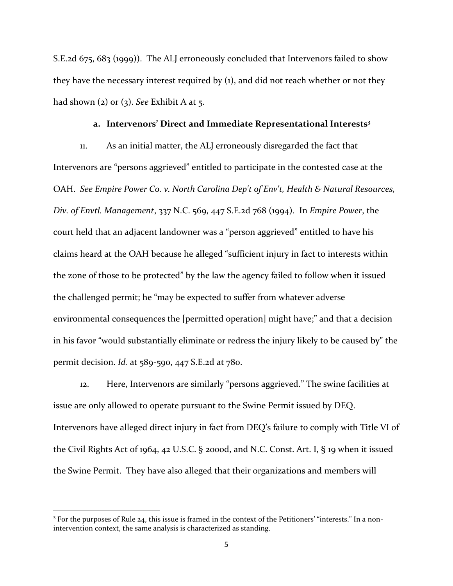S.E.2d 675, 683 (1999)). The ALJ erroneously concluded that Intervenors failed to show they have the necessary interest required by (1), and did not reach whether or not they had shown (2) or (3). *See* Exhibit A at 5.

### **a. Intervenors' Direct and Immediate Representational Interests<sup>3</sup>**

11. As an initial matter, the ALJ erroneously disregarded the fact that Intervenors are "persons aggrieved" entitled to participate in the contested case at the OAH. *See Empire Power Co. v. North Carolina Dep't of Env't, Health & Natural Resources, Div. of Envtl. Management*, 337 N.C. 569, 447 S.E.2d 768 (1994). In *Empire Power*, the court held that an adjacent landowner was a "person aggrieved" entitled to have his claims heard at the OAH because he alleged "sufficient injury in fact to interests within the zone of those to be protected" by the law the agency failed to follow when it issued the challenged permit; he "may be expected to suffer from whatever adverse environmental consequences the [permitted operation] might have;" and that a decision in his favor "would substantially eliminate or redress the injury likely to be caused by" the permit decision. *Id.* at 589-590, 447 S.E.2d at 780.

12. Here, Intervenors are similarly "persons aggrieved." The swine facilities at issue are only allowed to operate pursuant to the Swine Permit issued by DEQ. Intervenors have alleged direct injury in fact from DEQ's failure to comply with Title VI of the Civil Rights Act of 1964, 42 U.S.C. § 2000d, and N.C. Const. Art. I, § 19 when it issued the Swine Permit. They have also alleged that their organizations and members will

 $\overline{\phantom{a}}$ 

<sup>&</sup>lt;sup>3</sup> For the purposes of Rule 24, this issue is framed in the context of the Petitioners' "interests." In a nonintervention context, the same analysis is characterized as standing.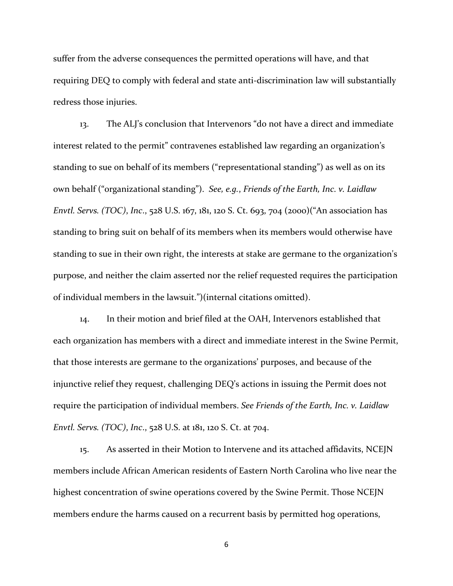suffer from the adverse consequences the permitted operations will have, and that requiring DEQ to comply with federal and state anti-discrimination law will substantially redress those injuries.

13. The ALJ's conclusion that Intervenors "do not have a direct and immediate interest related to the permit" contravenes established law regarding an organization's standing to sue on behalf of its members ("representational standing") as well as on its own behalf ("organizational standing"). *See, e.g.*, *Friends of the Earth, Inc. v. Laidlaw Envtl. Servs. (TOC)*, *Inc*., 528 U.S. 167, 181, 120 S. Ct. 693, 704 (2000)("An association has standing to bring suit on behalf of its members when its members would otherwise have standing to sue in their own right, the interests at stake are germane to the organization's purpose, and neither the claim asserted nor the relief requested requires the participation of individual members in the lawsuit.")(internal citations omitted).

14. In their motion and brief filed at the OAH, Intervenors established that each organization has members with a direct and immediate interest in the Swine Permit, that those interests are germane to the organizations' purposes, and because of the injunctive relief they request, challenging DEQ's actions in issuing the Permit does not require the participation of individual members. *See Friends of the Earth, Inc. v. Laidlaw Envtl. Servs. (TOC)*, *Inc*., 528 U.S. at 181, 120 S. Ct. at 704.

15. As asserted in their Motion to Intervene and its attached affidavits, NCEJN members include African American residents of Eastern North Carolina who live near the highest concentration of swine operations covered by the Swine Permit. Those NCEJN members endure the harms caused on a recurrent basis by permitted hog operations,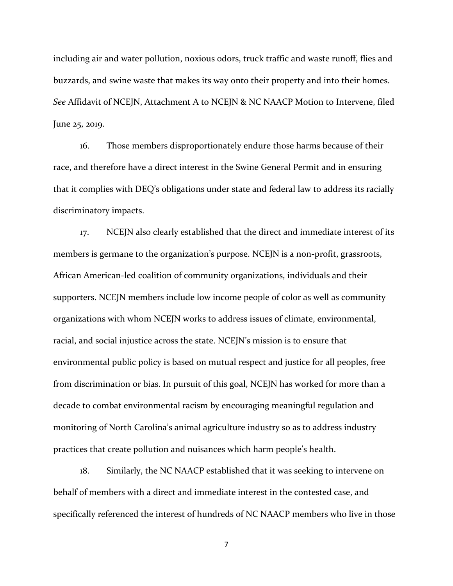including air and water pollution, noxious odors, truck traffic and waste runoff, flies and buzzards, and swine waste that makes its way onto their property and into their homes. *See* Affidavit of NCEJN, Attachment A to NCEJN & NC NAACP Motion to Intervene, filed June 25, 2019.

16. Those members disproportionately endure those harms because of their race, and therefore have a direct interest in the Swine General Permit and in ensuring that it complies with DEQ's obligations under state and federal law to address its racially discriminatory impacts.

17. NCEJN also clearly established that the direct and immediate interest of its members is germane to the organization's purpose. NCEJN is a non-profit, grassroots, African American-led coalition of community organizations, individuals and their supporters. NCEJN members include low income people of color as well as community organizations with whom NCEJN works to address issues of climate, environmental, racial, and social injustice across the state. NCEJN's mission is to ensure that environmental public policy is based on mutual respect and justice for all peoples, free from discrimination or bias. In pursuit of this goal, NCEJN has worked for more than a decade to combat environmental racism by encouraging meaningful regulation and monitoring of North Carolina's animal agriculture industry so as to address industry practices that create pollution and nuisances which harm people's health.

18. Similarly, the NC NAACP established that it was seeking to intervene on behalf of members with a direct and immediate interest in the contested case, and specifically referenced the interest of hundreds of NC NAACP members who live in those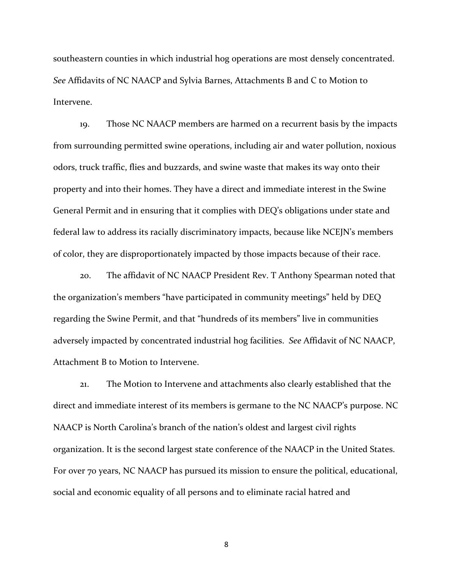southeastern counties in which industrial hog operations are most densely concentrated. *See* Affidavits of NC NAACP and Sylvia Barnes, Attachments B and C to Motion to Intervene.

19. Those NC NAACP members are harmed on a recurrent basis by the impacts from surrounding permitted swine operations, including air and water pollution, noxious odors, truck traffic, flies and buzzards, and swine waste that makes its way onto their property and into their homes. They have a direct and immediate interest in the Swine General Permit and in ensuring that it complies with DEQ's obligations under state and federal law to address its racially discriminatory impacts, because like NCEJN's members of color, they are disproportionately impacted by those impacts because of their race.

20. The affidavit of NC NAACP President Rev. T Anthony Spearman noted that the organization's members "have participated in community meetings" held by DEQ regarding the Swine Permit, and that "hundreds of its members" live in communities adversely impacted by concentrated industrial hog facilities. *See* Affidavit of NC NAACP, Attachment B to Motion to Intervene.

21. The Motion to Intervene and attachments also clearly established that the direct and immediate interest of its members is germane to the NC NAACP's purpose. NC NAACP is North Carolina's branch of the nation's oldest and largest civil rights organization. It is the second largest state conference of the NAACP in the United States. For over 70 years, NC NAACP has pursued its mission to ensure the political, educational, social and economic equality of all persons and to eliminate racial hatred and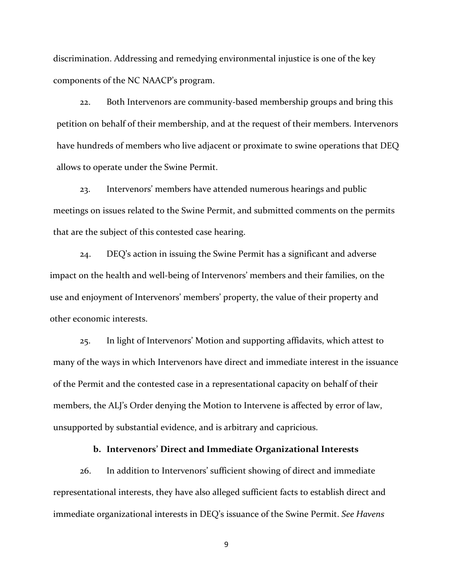discrimination. Addressing and remedying environmental injustice is one of the key components of the NC NAACP's program.

22. Both Intervenors are community-based membership groups and bring this petition on behalf of their membership, and at the request of their members. Intervenors have hundreds of members who live adjacent or proximate to swine operations that DEQ allows to operate under the Swine Permit.

23. Intervenors' members have attended numerous hearings and public meetings on issues related to the Swine Permit, and submitted comments on the permits that are the subject of this contested case hearing.

24. DEQ's action in issuing the Swine Permit has a significant and adverse impact on the health and well-being of Intervenors' members and their families, on the use and enjoyment of Intervenors' members' property, the value of their property and other economic interests.

25. In light of Intervenors' Motion and supporting affidavits, which attest to many of the ways in which Intervenors have direct and immediate interest in the issuance of the Permit and the contested case in a representational capacity on behalf of their members, the ALJ's Order denying the Motion to Intervene is affected by error of law, unsupported by substantial evidence, and is arbitrary and capricious.

# **b. Intervenors' Direct and Immediate Organizational Interests**

26. In addition to Intervenors' sufficient showing of direct and immediate representational interests, they have also alleged sufficient facts to establish direct and immediate organizational interests in DEQ's issuance of the Swine Permit. *See Havens*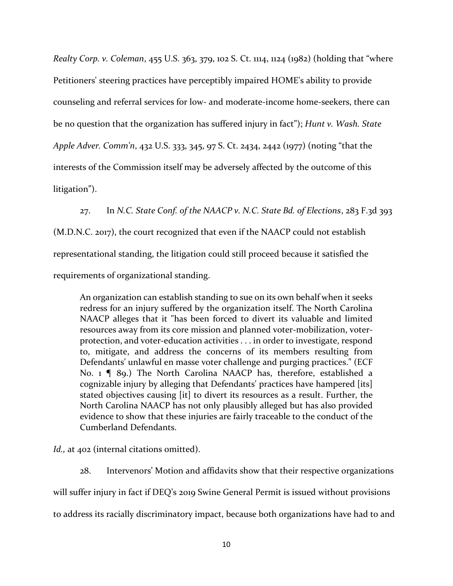*Realty Corp. v. Coleman*, 455 U.S. 363, 379, 102 S. Ct. 1114, 1124 (1982) (holding that "where Petitioners' steering practices have perceptibly impaired HOME's ability to provide counseling and referral services for low- and moderate-income home-seekers, there can be no question that the organization has suffered injury in fact"); *Hunt v. Wash. State Apple Adver. Comm'n*, 432 U.S. 333, 345, 97 S. Ct. 2434, 2442 (1977) (noting "that the interests of the Commission itself may be adversely affected by the outcome of this litigation").

27. In *N.C. State Conf. of the NAACP v. N.C. State Bd. of Elections*, 283 F.3d 393

(M.D.N.C. 2017), the court recognized that even if the NAACP could not establish

representational standing, the litigation could still proceed because it satisfied the

requirements of organizational standing.

An organization can establish standing to sue on its own behalf when it seeks redress for an injury suffered by the organization itself. The North Carolina NAACP alleges that it "has been forced to divert its valuable and limited resources away from its core mission and planned voter-mobilization, voterprotection, and voter-education activities . . . in order to investigate, respond to, mitigate, and address the concerns of its members resulting from Defendants' unlawful en masse voter challenge and purging practices." (ECF No. 1 [ 89.) The North Carolina NAACP has, therefore, established a cognizable injury by alleging that Defendants' practices have hampered [its] stated objectives causing [it] to divert its resources as a result. Further, the North Carolina NAACP has not only plausibly alleged but has also provided evidence to show that these injuries are fairly traceable to the conduct of the Cumberland Defendants.

*Id.*, at 402 (internal citations omitted).

28. Intervenors' Motion and affidavits show that their respective organizations will suffer injury in fact if DEQ's 2019 Swine General Permit is issued without provisions to address its racially discriminatory impact, because both organizations have had to and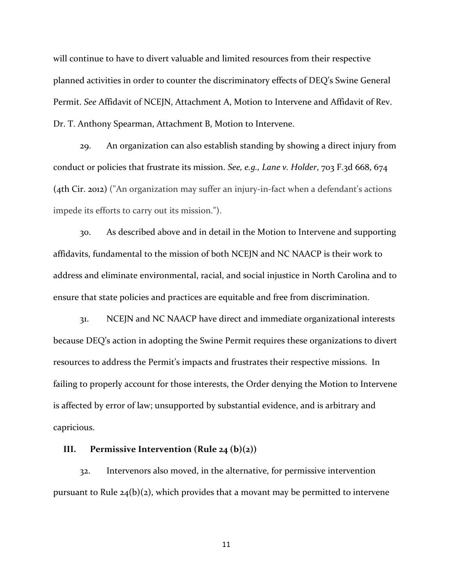will continue to have to divert valuable and limited resources from their respective planned activities in order to counter the discriminatory effects of DEQ's Swine General Permit. *See* Affidavit of NCEJN, Attachment A, Motion to Intervene and Affidavit of Rev. Dr. T. Anthony Spearman, Attachment B, Motion to Intervene.

29. An organization can also establish standing by showing a direct injury from conduct or policies that frustrate its mission. *See, e.g., Lane v. Holder*, 703 F.3d 668, 674 (4th Cir. 2012) ("An organization may suffer an injury-in-fact when a defendant's actions impede its efforts to carry out its mission.").

30. As described above and in detail in the Motion to Intervene and supporting affidavits, fundamental to the mission of both NCEJN and NC NAACP is their work to address and eliminate environmental, racial, and social injustice in North Carolina and to ensure that state policies and practices are equitable and free from discrimination.

31. NCEJN and NC NAACP have direct and immediate organizational interests because DEQ's action in adopting the Swine Permit requires these organizations to divert resources to address the Permit's impacts and frustrates their respective missions. In failing to properly account for those interests, the Order denying the Motion to Intervene is affected by error of law; unsupported by substantial evidence, and is arbitrary and capricious.

# **III. Permissive Intervention (Rule 24 (b)(2))**

32. Intervenors also moved, in the alternative, for permissive intervention pursuant to Rule  $24(b)(2)$ , which provides that a movant may be permitted to intervene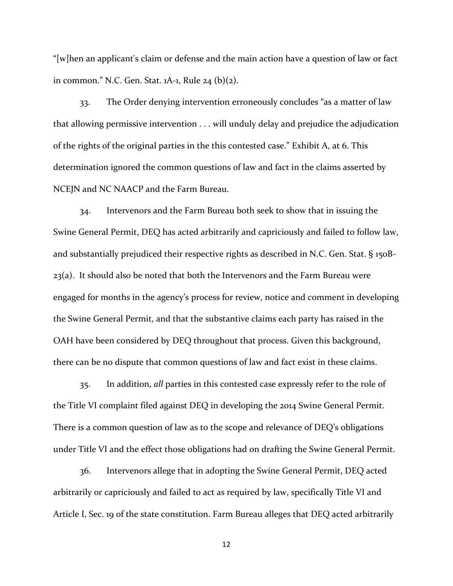"[w]hen an applicant's claim or defense and the main action have a question of law or fact in common." N.C. Gen. Stat. 1A-1, Rule 24 (b)(2).

33. The Order denying intervention erroneously concludes "as a matter of law that allowing permissive intervention . . . will unduly delay and prejudice the adjudication of the rights of the original parties in the this contested case." Exhibit A, at 6. This determination ignored the common questions of law and fact in the claims asserted by NCEJN and NC NAACP and the Farm Bureau.

34. Intervenors and the Farm Bureau both seek to show that in issuing the Swine General Permit, DEQ has acted arbitrarily and capriciously and failed to follow law, and substantially prejudiced their respective rights as described in N.C. Gen. Stat. § 150B-23(a). It should also be noted that both the Intervenors and the Farm Bureau were engaged for months in the agency's process for review, notice and comment in developing the Swine General Permit, and that the substantive claims each party has raised in the OAH have been considered by DEQ throughout that process. Given this background, there can be no dispute that common questions of law and fact exist in these claims.

35. In addition, *all* parties in this contested case expressly refer to the role of the Title VI complaint filed against DEQ in developing the 2014 Swine General Permit. There is a common question of law as to the scope and relevance of DEQ's obligations under Title VI and the effect those obligations had on drafting the Swine General Permit.

36. Intervenors allege that in adopting the Swine General Permit, DEQ acted arbitrarily or capriciously and failed to act as required by law, specifically Title VI and Article I, Sec. 19 of the state constitution. Farm Bureau alleges that DEQ acted arbitrarily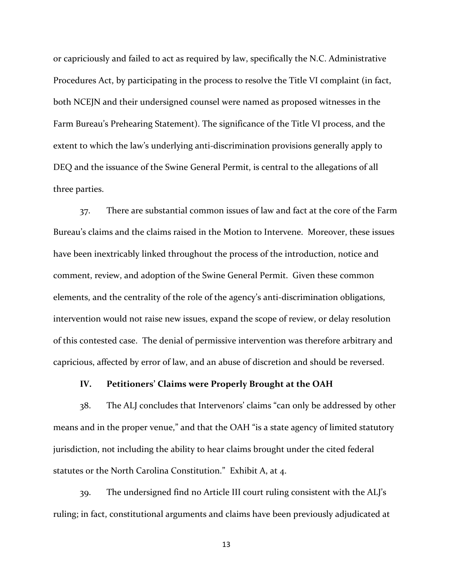or capriciously and failed to act as required by law, specifically the N.C. Administrative Procedures Act, by participating in the process to resolve the Title VI complaint (in fact, both NCEJN and their undersigned counsel were named as proposed witnesses in the Farm Bureau's Prehearing Statement). The significance of the Title VI process, and the extent to which the law's underlying anti-discrimination provisions generally apply to DEQ and the issuance of the Swine General Permit, is central to the allegations of all three parties.

37. There are substantial common issues of law and fact at the core of the Farm Bureau's claims and the claims raised in the Motion to Intervene. Moreover, these issues have been inextricably linked throughout the process of the introduction, notice and comment, review, and adoption of the Swine General Permit. Given these common elements, and the centrality of the role of the agency's anti-discrimination obligations, intervention would not raise new issues, expand the scope of review, or delay resolution of this contested case. The denial of permissive intervention was therefore arbitrary and capricious, affected by error of law, and an abuse of discretion and should be reversed.

# **IV. Petitioners' Claims were Properly Brought at the OAH**

38. The ALJ concludes that Intervenors' claims "can only be addressed by other means and in the proper venue," and that the OAH "is a state agency of limited statutory jurisdiction, not including the ability to hear claims brought under the cited federal statutes or the North Carolina Constitution." Exhibit A, at 4.

39. The undersigned find no Article III court ruling consistent with the ALJ's ruling; in fact, constitutional arguments and claims have been previously adjudicated at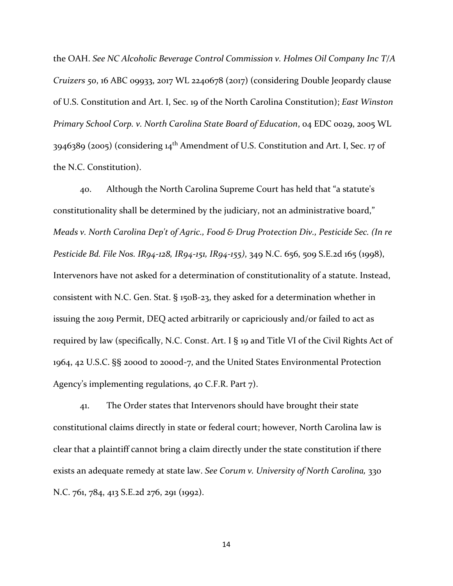the OAH. *See NC Alcoholic Beverage Control Commission v. Holmes Oil Company Inc T/A Cruizers 50*, 16 ABC 09933, 2017 WL 2240678 (2017) (considering Double Jeopardy clause of U.S. Constitution and Art. I, Sec. 19 of the North Carolina Constitution); *East Winston Primary School Corp. v. North Carolina State Board of Education*, 04 EDC 0029, 2005 WL 3946389 (2005) (considering 14th Amendment of U.S. Constitution and Art. I, Sec. 17 of the N.C. Constitution).

40. Although the North Carolina Supreme Court has held that "a statute's constitutionality shall be determined by the judiciary, not an administrative board," *Meads v. North Carolina Dep't of Agric., Food & Drug Protection Div., Pesticide Sec. (In re Pesticide Bd. File Nos. IR94-128, IR94-151, IR94-155)*, 349 N.C. 656, 509 S.E.2d 165 (1998), Intervenors have not asked for a determination of constitutionality of a statute. Instead, consistent with N.C. Gen. Stat. § 150B-23, they asked for a determination whether in issuing the 2019 Permit, DEQ acted arbitrarily or capriciously and/or failed to act as required by law (specifically, N.C. Const. Art. I § 19 and Title VI of the Civil Rights Act of 1964, 42 U.S.C. §§ 2000d to 2000d-7, and the United States Environmental Protection Agency's implementing regulations, 40 C.F.R. Part 7).

41. The Order states that Intervenors should have brought their state constitutional claims directly in state or federal court; however, North Carolina law is clear that a plaintiff cannot bring a claim directly under the state constitution if there exists an adequate remedy at state law. *See Corum v. University of North Carolina,* 330 N.C. 761, 784, 413 S.E.2d 276, 291 (1992).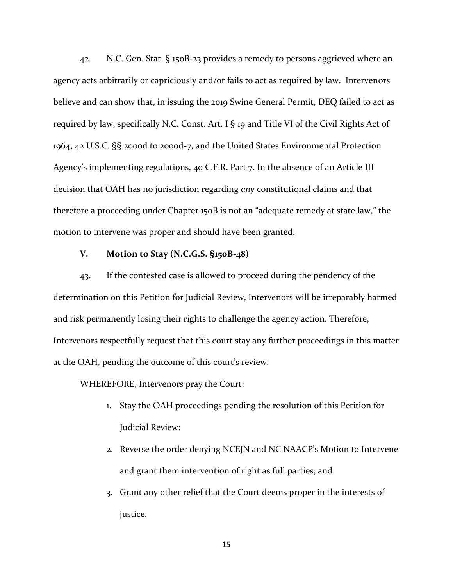42. N.C. Gen. Stat. § 150B-23 provides a remedy to persons aggrieved where an agency acts arbitrarily or capriciously and/or fails to act as required by law. Intervenors believe and can show that, in issuing the 2019 Swine General Permit, DEQ failed to act as required by law, specifically N.C. Const. Art. I § 19 and Title VI of the Civil Rights Act of 1964, 42 U.S.C. §§ 2000d to 2000d-7, and the United States Environmental Protection Agency's implementing regulations, 40 C.F.R. Part 7. In the absence of an Article III decision that OAH has no jurisdiction regarding *any* constitutional claims and that therefore a proceeding under Chapter 150B is not an "adequate remedy at state law," the motion to intervene was proper and should have been granted.

# **V. Motion to Stay (N.C.G.S. §150B-48)**

43. If the contested case is allowed to proceed during the pendency of the determination on this Petition for Judicial Review, Intervenors will be irreparably harmed and risk permanently losing their rights to challenge the agency action. Therefore, Intervenors respectfully request that this court stay any further proceedings in this matter at the OAH, pending the outcome of this court's review.

WHEREFORE, Intervenors pray the Court:

- 1. Stay the OAH proceedings pending the resolution of this Petition for Judicial Review:
- 2. Reverse the order denying NCEJN and NC NAACP's Motion to Intervene and grant them intervention of right as full parties; and
- 3. Grant any other relief that the Court deems proper in the interests of justice.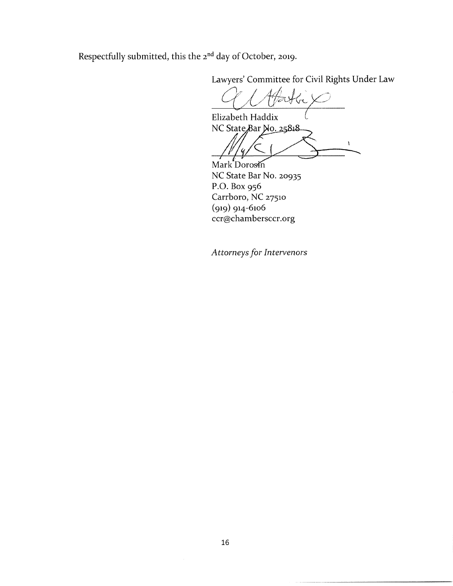Respectfully submitted, this the 2<sup>nd</sup> day of October, 2019.

Lawyers' Committee for Civil Rights Under Law

Elizabeth Haddix NC State Bar No. 25818

Mark Dorosin NC State Bar No. 20935 P.O. Box 956 Carrboro, NC 27510  $(919)$  914-6106 ccr@chambersccr.org

Attorneys for Intervenors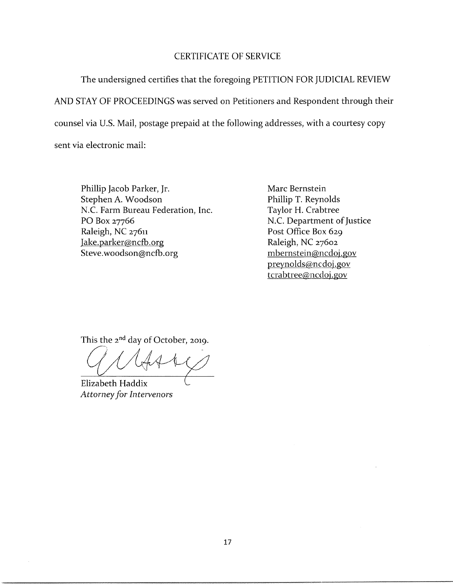# **CERTIFICATE OF SERVICE**

The undersigned certifies that the foregoing PETITION FOR JUDICIAL REVIEW AND STAY OF PROCEEDINGS was served on Petitioners and Respondent through their counsel via U.S. Mail, postage prepaid at the following addresses, with a courtesy copy sent via electronic mail:

Phillip Jacob Parker, Jr. Stephen A. Woodson N.C. Farm Bureau Federation, Inc. PO Box 27766 Raleigh, NC 27611 Jake.parker@ncfb.org Steve.woodson@ncfb.org

Marc Bernstein Phillip T. Reynolds Taylor H. Crabtree N.C. Department of Justice Post Office Box 629 Raleigh, NC 27602 mbernstein@ncdoj.gov preynolds@ncdoj.gov tcrabtree@ncdoj.gov

This the 2<sup>nd</sup> day of October, 2019.

Elizabeth Haddix **Attorney for Intervenors**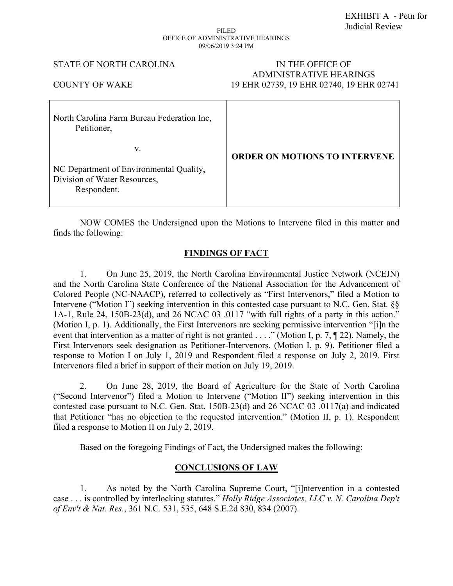# EXHIBIT A - Petn for Judicial Review

### FILED OFFICE OF ADMINISTRATIVE HEARINGS 09/06/2019 3:24 PM

### STATE OF NORTH CAROLINA IN THE OFFICE OF

# ADMINISTRATIVE HEARINGS COUNTY OF WAKE 19 EHR 02739, 19 EHR 02740, 19 EHR 02741

NOW COMES the Undersigned upon the Motions to Intervene filed in this matter and finds the following:

# **FINDINGS OF FACT**

1. On June 25, 2019, the North Carolina Environmental Justice Network (NCEJN) and the North Carolina State Conference of the National Association for the Advancement of Colored People (NC-NAACP), referred to collectively as "First Intervenors," filed a Motion to Intervene ("Motion I") seeking intervention in this contested case pursuant to N.C. Gen. Stat.  $\S$ 1A-1, Rule 24, 150B-23(d), and 26 NCAC 03 .0117 "with full rights of a party in this action." (Motion I, p. 1). Additionally, the First Intervenors are seeking permissive intervention "[i]n the event that intervention as a matter of right is not granted . . . ." (Motion I, p. 7, ¶ 22). Namely, the First Intervenors seek designation as Petitioner-Intervenors. (Motion I, p. 9). Petitioner filed a response to Motion I on July 1, 2019 and Respondent filed a response on July 2, 2019. First Intervenors filed a brief in support of their motion on July 19, 2019.

2. On June 28, 2019, the Board of Agriculture for the State of North Carolina ("Second Intervenor") filed a Motion to Intervene ("Motion II") seeking intervention in this contested case pursuant to N.C. Gen. Stat. 150B-23(d) and 26 NCAC 03 .0117(a) and indicated that Petitioner "has no objection to the requested intervention." (Motion II, p. 1). Respondent filed a response to Motion II on July 2, 2019.

Based on the foregoing Findings of Fact, the Undersigned makes the following:

# **CONCLUSIONS OF LAW**

1. As noted by the North Carolina Supreme Court, "[i]ntervention in a contested case . . . is controlled by interlocking statutes." *Holly Ridge Associates, LLC v. N. Carolina Dep't of Env't & Nat. Res.*, 361 N.C. 531, 535, 648 S.E.2d 830, 834 (2007).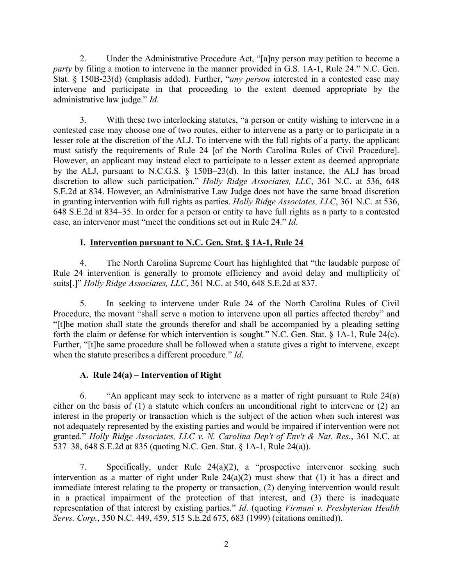2. Under the Administrative Procedure Act, "[a]ny person may petition to become a *party* by filing a motion to intervene in the manner provided in G.S. 1A-1, Rule 24." N.C. Gen. Stat. § 150B-23(d) (emphasis added). Further, "*any person* interested in a contested case may intervene and participate in that proceeding to the extent deemed appropriate by the administrative law judge." *Id*.

3. With these two interlocking statutes, "a person or entity wishing to intervene in a contested case may choose one of two routes, either to intervene as a party or to participate in a lesser role at the discretion of the ALJ. To intervene with the full rights of a party, the applicant must satisfy the requirements of Rule 24 [of the North Carolina Rules of Civil Procedure]. However, an applicant may instead elect to participate to a lesser extent as deemed appropriate by the ALJ, pursuant to N.C.G.S. § 150B–23(d). In this latter instance, the ALJ has broad discretion to allow such participation." *Holly Ridge Associates, LLC*, 361 N.C. at 536, 648 S.E.2d at 834. However, an Administrative Law Judge does not have the same broad discretion in granting intervention with full rights as parties. *Holly Ridge Associates, LLC*, 361 N.C. at 536, 648 S.E.2d at 834–35. In order for a person or entity to have full rights as a party to a contested case, an intervenor must "meet the conditions set out in Rule 24." *Id*.

# **I. Intervention pursuant to N.C. Gen. Stat. § 1A-1, Rule 24**

4. The North Carolina Supreme Court has highlighted that "the laudable purpose of Rule 24 intervention is generally to promote efficiency and avoid delay and multiplicity of suits[.]" *Holly Ridge Associates, LLC*, 361 N.C. at 540, 648 S.E.2d at 837.

5. In seeking to intervene under Rule 24 of the North Carolina Rules of Civil Procedure, the movant "shall serve a motion to intervene upon all parties affected thereby" and "[t]he motion shall state the grounds therefor and shall be accompanied by a pleading setting forth the claim or defense for which intervention is sought." N.C. Gen. Stat. § 1A-1, Rule 24(c). Further, "[t]he same procedure shall be followed when a statute gives a right to intervene, except when the statute prescribes a different procedure." *Id*.

# **A. Rule 24(a) – Intervention of Right**

6. "An applicant may seek to intervene as a matter of right pursuant to Rule 24(a) either on the basis of (1) a statute which confers an unconditional right to intervene or (2) an interest in the property or transaction which is the subject of the action when such interest was not adequately represented by the existing parties and would be impaired if intervention were not granted." *Holly Ridge Associates, LLC v. N. Carolina Dep't of Env't & Nat. Res.*, 361 N.C. at 537–38, 648 S.E.2d at 835 (quoting N.C. Gen. Stat. § 1A-1, Rule 24(a)).

7. Specifically, under Rule 24(a)(2), a "prospective intervenor seeking such intervention as a matter of right under Rule  $24(a)(2)$  must show that (1) it has a direct and immediate interest relating to the property or transaction, (2) denying intervention would result in a practical impairment of the protection of that interest, and (3) there is inadequate representation of that interest by existing parties." *Id*. (quoting *Virmani v. Presbyterian Health Servs. Corp.*, 350 N.C. 449, 459, 515 S.E.2d 675, 683 (1999) (citations omitted)).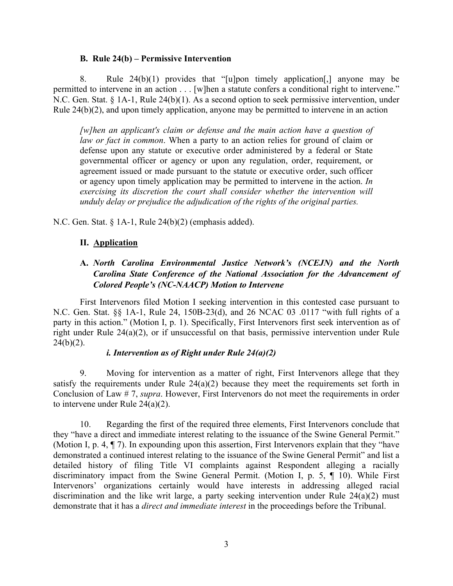# **B. Rule 24(b) – Permissive Intervention**

8. Rule 24(b)(1) provides that "[u]pon timely application[,] anyone may be permitted to intervene in an action . . . [w]hen a statute confers a conditional right to intervene." N.C. Gen. Stat. § 1A-1, Rule 24(b)(1). As a second option to seek permissive intervention, under Rule 24(b)(2), and upon timely application, anyone may be permitted to intervene in an action

*[w]hen an applicant's claim or defense and the main action have a question of law or fact in common*. When a party to an action relies for ground of claim or defense upon any statute or executive order administered by a federal or State governmental officer or agency or upon any regulation, order, requirement, or agreement issued or made pursuant to the statute or executive order, such officer or agency upon timely application may be permitted to intervene in the action. *In exercising its discretion the court shall consider whether the intervention will unduly delay or prejudice the adjudication of the rights of the original parties.*

N.C. Gen. Stat. § 1A-1, Rule 24(b)(2) (emphasis added).

# **II. Application**

# **A.** *North Carolina Environmental Justice Network's (NCEJN) and the North Carolina State Conference of the National Association for the Advancement of Colored People's (NC-NAACP) Motion to Intervene*

First Intervenors filed Motion I seeking intervention in this contested case pursuant to N.C. Gen. Stat. §§ 1A-1, Rule 24, 150B-23(d), and 26 NCAC 03 .0117 "with full rights of a party in this action." (Motion I, p. 1). Specifically, First Intervenors first seek intervention as of right under Rule 24(a)(2), or if unsuccessful on that basis, permissive intervention under Rule  $24(b)(2)$ .

# *i. Intervention as of Right under Rule 24(a)(2)*

9. Moving for intervention as a matter of right, First Intervenors allege that they satisfy the requirements under Rule  $24(a)(2)$  because they meet the requirements set forth in Conclusion of Law # 7, *supra*. However, First Intervenors do not meet the requirements in order to intervene under Rule 24(a)(2).

10. Regarding the first of the required three elements, First Intervenors conclude that they "have a direct and immediate interest relating to the issuance of the Swine General Permit." (Motion I, p. 4, ¶ 7). In expounding upon this assertion, First Intervenors explain that they "have demonstrated a continued interest relating to the issuance of the Swine General Permit" and list a detailed history of filing Title VI complaints against Respondent alleging a racially discriminatory impact from the Swine General Permit. (Motion I, p. 5, ¶ 10). While First Intervenors' organizations certainly would have interests in addressing alleged racial discrimination and the like writ large, a party seeking intervention under Rule 24(a)(2) must demonstrate that it has a *direct and immediate interest* in the proceedings before the Tribunal.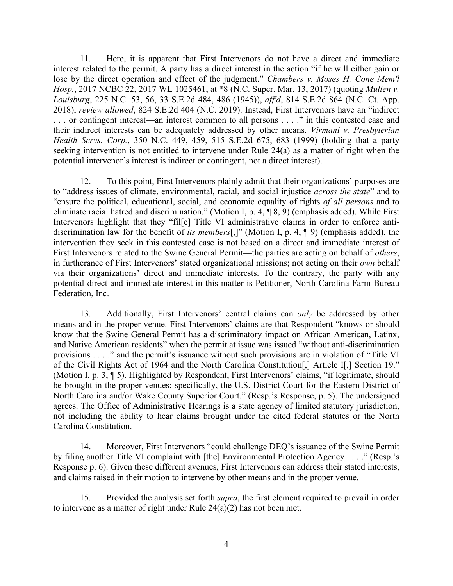11. Here, it is apparent that First Intervenors do not have a direct and immediate interest related to the permit. A party has a direct interest in the action "if he will either gain or lose by the direct operation and effect of the judgment." *Chambers v. Moses H. Cone Mem'l Hosp.*, 2017 NCBC 22, 2017 WL 1025461, at \*8 (N.C. Super. Mar. 13, 2017) (quoting *Mullen v. Louisburg*, 225 N.C. 53, 56, 33 S.E.2d 484, 486 (1945)), *aff'd*, 814 S.E.2d 864 (N.C. Ct. App. 2018), *review allowed*, 824 S.E.2d 404 (N.C. 2019). Instead, First Intervenors have an "indirect . . . or contingent interest—an interest common to all persons . . . ." in this contested case and their indirect interests can be adequately addressed by other means. *Virmani v. Presbyterian Health Servs. Corp.*, 350 N.C. 449, 459, 515 S.E.2d 675, 683 (1999) (holding that a party seeking intervention is not entitled to intervene under Rule 24(a) as a matter of right when the potential intervenor's interest is indirect or contingent, not a direct interest).

12. To this point, First Intervenors plainly admit that their organizations' purposes are to "address issues of climate, environmental, racial, and social injustice *across the state*" and to "ensure the political, educational, social, and economic equality of rights *of all persons* and to eliminate racial hatred and discrimination." (Motion I, p. 4, ¶ 8, 9) (emphasis added). While First Intervenors highlight that they "fil[e] Title VI administrative claims in order to enforce antidiscrimination law for the benefit of *its members*[,]" (Motion I, p. 4, ¶ 9) (emphasis added), the intervention they seek in this contested case is not based on a direct and immediate interest of First Intervenors related to the Swine General Permit—the parties are acting on behalf of *others*, in furtherance of First Intervenors' stated organizational missions; not acting on their *own* behalf via their organizations' direct and immediate interests. To the contrary, the party with any potential direct and immediate interest in this matter is Petitioner, North Carolina Farm Bureau Federation, Inc.

13. Additionally, First Intervenors' central claims can *only* be addressed by other means and in the proper venue. First Intervenors' claims are that Respondent "knows or should know that the Swine General Permit has a discriminatory impact on African American, Latinx, and Native American residents" when the permit at issue was issued "without anti-discrimination provisions . . . ." and the permit's issuance without such provisions are in violation of "Title VI of the Civil Rights Act of 1964 and the North Carolina Constitution[,] Article I[,] Section 19." (Motion I, p. 3, ¶ 5). Highlighted by Respondent, First Intervenors' claims, "if legitimate, should be brought in the proper venues; specifically, the U.S. District Court for the Eastern District of North Carolina and/or Wake County Superior Court." (Resp.'s Response, p. 5). The undersigned agrees. The Office of Administrative Hearings is a state agency of limited statutory jurisdiction, not including the ability to hear claims brought under the cited federal statutes or the North Carolina Constitution.

14. Moreover, First Intervenors "could challenge DEQ's issuance of the Swine Permit by filing another Title VI complaint with [the] Environmental Protection Agency . . . ." (Resp.'s Response p. 6). Given these different avenues, First Intervenors can address their stated interests, and claims raised in their motion to intervene by other means and in the proper venue.

15. Provided the analysis set forth *supra*, the first element required to prevail in order to intervene as a matter of right under Rule 24(a)(2) has not been met.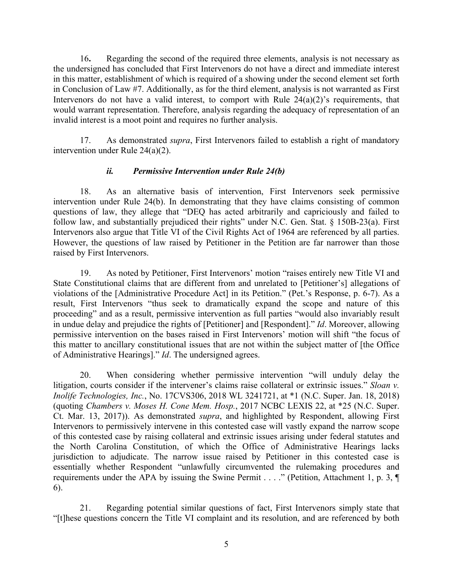16**.** Regarding the second of the required three elements, analysis is not necessary as the undersigned has concluded that First Intervenors do not have a direct and immediate interest in this matter, establishment of which is required of a showing under the second element set forth in Conclusion of Law #7. Additionally, as for the third element, analysis is not warranted as First Intervenors do not have a valid interest, to comport with Rule  $24(a)(2)$ 's requirements, that would warrant representation. Therefore, analysis regarding the adequacy of representation of an invalid interest is a moot point and requires no further analysis.

17. As demonstrated *supra*, First Intervenors failed to establish a right of mandatory intervention under Rule 24(a)(2).

# *ii. Permissive Intervention under Rule 24(b)*

18. As an alternative basis of intervention, First Intervenors seek permissive intervention under Rule 24(b). In demonstrating that they have claims consisting of common questions of law, they allege that "DEQ has acted arbitrarily and capriciously and failed to follow law, and substantially prejudiced their rights" under N.C. Gen. Stat. § 150B-23(a). First Intervenors also argue that Title VI of the Civil Rights Act of 1964 are referenced by all parties. However, the questions of law raised by Petitioner in the Petition are far narrower than those raised by First Intervenors.

19. As noted by Petitioner, First Intervenors' motion "raises entirely new Title VI and State Constitutional claims that are different from and unrelated to [Petitioner's] allegations of violations of the [Administrative Procedure Act] in its Petition." (Pet.'s Response, p. 6-7). As a result, First Intervenors "thus seek to dramatically expand the scope and nature of this proceeding" and as a result, permissive intervention as full parties "would also invariably result in undue delay and prejudice the rights of [Petitioner] and [Respondent]." *Id*. Moreover, allowing permissive intervention on the bases raised in First Intervenors' motion will shift "the focus of this matter to ancillary constitutional issues that are not within the subject matter of [the Office of Administrative Hearings]." *Id*. The undersigned agrees.

20. When considering whether permissive intervention "will unduly delay the litigation, courts consider if the intervener's claims raise collateral or extrinsic issues." *Sloan v. Inolife Technologies, Inc.*, No. 17CVS306, 2018 WL 3241721, at \*1 (N.C. Super. Jan. 18, 2018) (quoting *Chambers v. Moses H. Cone Mem. Hosp.*, 2017 NCBC LEXIS 22, at \*25 (N.C. Super. Ct. Mar. 13, 2017)). As demonstrated *supra*, and highlighted by Respondent, allowing First Intervenors to permissively intervene in this contested case will vastly expand the narrow scope of this contested case by raising collateral and extrinsic issues arising under federal statutes and the North Carolina Constitution, of which the Office of Administrative Hearings lacks jurisdiction to adjudicate. The narrow issue raised by Petitioner in this contested case is essentially whether Respondent "unlawfully circumvented the rulemaking procedures and requirements under the APA by issuing the Swine Permit . . . ." (Petition, Attachment 1, p. 3, ¶ 6).

21. Regarding potential similar questions of fact, First Intervenors simply state that "[t]hese questions concern the Title VI complaint and its resolution, and are referenced by both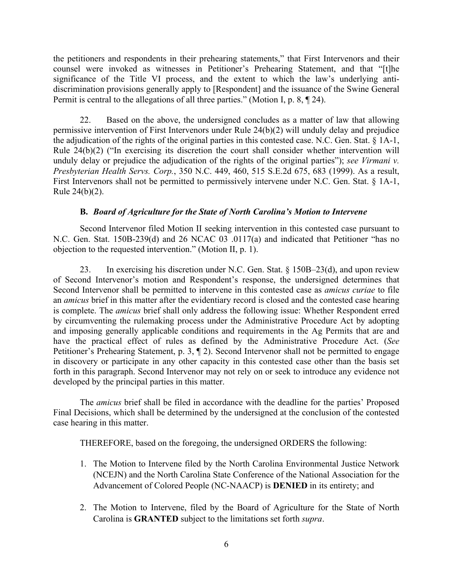the petitioners and respondents in their prehearing statements," that First Intervenors and their counsel were invoked as witnesses in Petitioner's Prehearing Statement, and that "[t]he significance of the Title VI process, and the extent to which the law's underlying antidiscrimination provisions generally apply to [Respondent] and the issuance of the Swine General Permit is central to the allegations of all three parties." (Motion I, p. 8, ¶ 24).

22. Based on the above, the undersigned concludes as a matter of law that allowing permissive intervention of First Intervenors under Rule 24(b)(2) will unduly delay and prejudice the adjudication of the rights of the original parties in this contested case. N.C. Gen. Stat. § 1A-1, Rule 24(b)(2) ("In exercising its discretion the court shall consider whether intervention will unduly delay or prejudice the adjudication of the rights of the original parties"); *see Virmani v. Presbyterian Health Servs. Corp.*, 350 N.C. 449, 460, 515 S.E.2d 675, 683 (1999). As a result, First Intervenors shall not be permitted to permissively intervene under N.C. Gen. Stat. § 1A-1, Rule 24(b)(2).

# **B.** *Board of Agriculture for the State of North Carolina's Motion to Intervene*

Second Intervenor filed Motion II seeking intervention in this contested case pursuant to N.C. Gen. Stat. 150B-239(d) and 26 NCAC 03 .0117(a) and indicated that Petitioner "has no objection to the requested intervention." (Motion II, p. 1).

23. In exercising his discretion under N.C. Gen. Stat. § 150B–23(d), and upon review of Second Intervenor's motion and Respondent's response, the undersigned determines that Second Intervenor shall be permitted to intervene in this contested case as *amicus curiae* to file an *amicus* brief in this matter after the evidentiary record is closed and the contested case hearing is complete. The *amicus* brief shall only address the following issue: Whether Respondent erred by circumventing the rulemaking process under the Administrative Procedure Act by adopting and imposing generally applicable conditions and requirements in the Ag Permits that are and have the practical effect of rules as defined by the Administrative Procedure Act. (*See* Petitioner's Prehearing Statement, p. 3,  $\P$  2). Second Intervenor shall not be permitted to engage in discovery or participate in any other capacity in this contested case other than the basis set forth in this paragraph. Second Intervenor may not rely on or seek to introduce any evidence not developed by the principal parties in this matter.

The *amicus* brief shall be filed in accordance with the deadline for the parties' Proposed Final Decisions, which shall be determined by the undersigned at the conclusion of the contested case hearing in this matter.

THEREFORE, based on the foregoing, the undersigned ORDERS the following:

- 1. The Motion to Intervene filed by the North Carolina Environmental Justice Network (NCEJN) and the North Carolina State Conference of the National Association for the Advancement of Colored People (NC-NAACP) is **DENIED** in its entirety; and
- 2. The Motion to Intervene, filed by the Board of Agriculture for the State of North Carolina is **GRANTED** subject to the limitations set forth *supra*.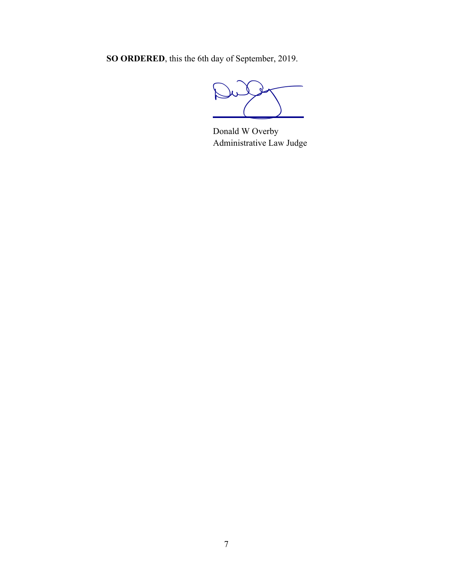**SO ORDERED**, this the 6th day of September, 2019.

Dulf

Donald W Overby Administrative Law Judge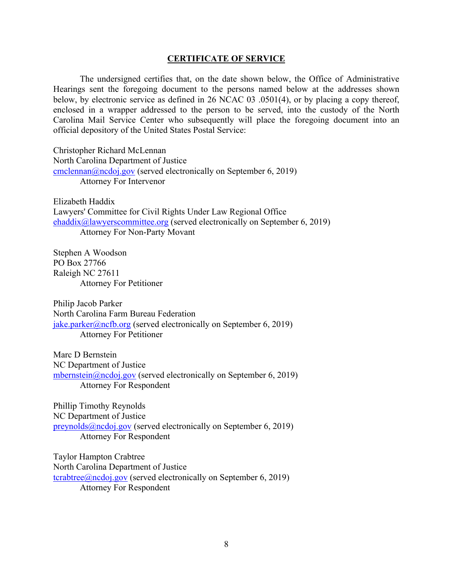### **CERTIFICATE OF SERVICE**

The undersigned certifies that, on the date shown below, the Office of Administrative Hearings sent the foregoing document to the persons named below at the addresses shown below, by electronic service as defined in 26 NCAC 03 .0501(4), or by placing a copy thereof, enclosed in a wrapper addressed to the person to be served, into the custody of the North Carolina Mail Service Center who subsequently will place the foregoing document into an official depository of the United States Postal Service:

Christopher Richard McLennan North Carolina Department of Justice [cmclennan@ncdoj.gov](mailto:cmclennan@ncdoj.gov) (served electronically on September 6, 2019) Attorney For Intervenor

Elizabeth Haddix Lawyers' Committee for Civil Rights Under Law Regional Office [ehaddix@lawyerscommittee.org](mailto:ehaddix@lawyerscommittee.org) (served electronically on September 6, 2019) Attorney For Non-Party Movant

Stephen A Woodson PO Box 27766 Raleigh NC 27611 Attorney For Petitioner

Philip Jacob Parker North Carolina Farm Bureau Federation [jake.parker@ncfb.org](mailto:jake.parker@ncfb.org) (served electronically on September 6, 2019) Attorney For Petitioner

Marc D Bernstein NC Department of Justice [mbernstein@ncdoj.gov](mailto:mbernstein@ncdoj.gov) (served electronically on September 6, 2019) Attorney For Respondent

Phillip Timothy Reynolds NC Department of Justice [preynolds@ncdoj.gov](mailto:preynolds@ncdoj.gov) (served electronically on September 6, 2019) Attorney For Respondent

Taylor Hampton Crabtree North Carolina Department of Justice [tcrabtree@ncdoj.gov](mailto:tcrabtree@ncdoj.gov) (served electronically on September 6, 2019) Attorney For Respondent